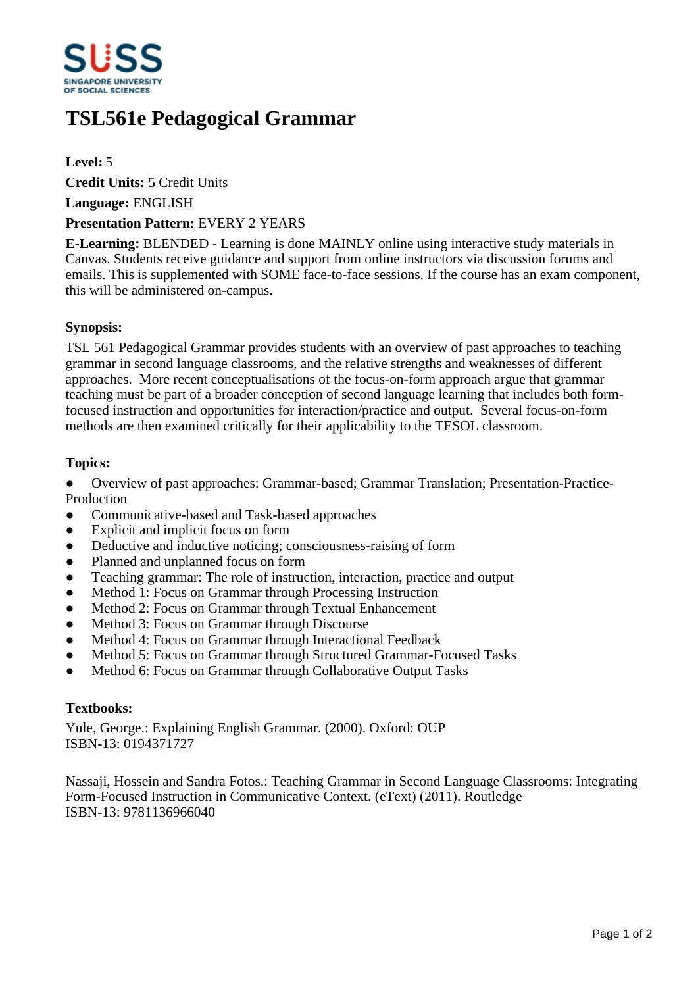

# **TSL561e Pedagogical Grammar**

### **Level:** 5

**Credit Units:** 5 Credit Units

**Language:** ENGLISH

#### **Presentation Pattern:** EVERY 2 YEARS

**E-Learning:** BLENDED - Learning is done MAINLY online using interactive study materials in Canvas. Students receive guidance and support from online instructors via discussion forums and emails. This is supplemented with SOME face-to-face sessions. If the course has an exam component, this will be administered on-campus.

#### **Synopsis:**

TSL 561 Pedagogical Grammar provides students with an overview of past approaches to teaching grammar in second language classrooms, and the relative strengths and weaknesses of different approaches. More recent conceptualisations of the focus-on-form approach argue that grammar teaching must be part of a broader conception of second language learning that includes both formfocused instruction and opportunities for interaction/practice and output. Several focus-on-form methods are then examined critically for their applicability to the TESOL classroom.

#### **Topics:**

• Overview of past approaches: Grammar-based; Grammar Translation; Presentation-Practice-Production

- ƔCommunicative-based and Task-based approaches
- Explicit and implicit focus on form
- Deductive and inductive noticing; consciousness-raising of form
- Planned and unplanned focus on form
- Teaching grammar: The role of instruction, interaction, practice and output
- Method 1: Focus on Grammar through Processing Instruction
- Method 2: Focus on Grammar through Textual Enhancement
- Method 3: Focus on Grammar through Discourse
- Method 4: Focus on Grammar through Interactional Feedback
- Method 5: Focus on Grammar through Structured Grammar-Focused Tasks
- Method 6: Focus on Grammar through Collaborative Output Tasks

#### **Textbooks:**

Yule, George.: Explaining English Grammar. (2000). Oxford: OUP ISBN-13: 0194371727

Nassaji, Hossein and Sandra Fotos.: Teaching Grammar in Second Language Classrooms: Integrating Form-Focused Instruction in Communicative Context. (eText) (2011). Routledge ISBN-13: 9781136966040